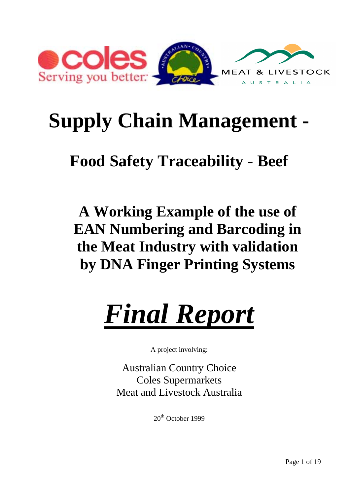

# **Supply Chain Management -**

# **Food Safety Traceability - Beef**

**A Working Example of the use of EAN Numbering and Barcoding in the Meat Industry with validation by DNA Finger Printing Systems**



A project involving:

Australian Country Choice Coles Supermarkets Meat and Livestock Australia

 $20<sup>th</sup>$  October 1999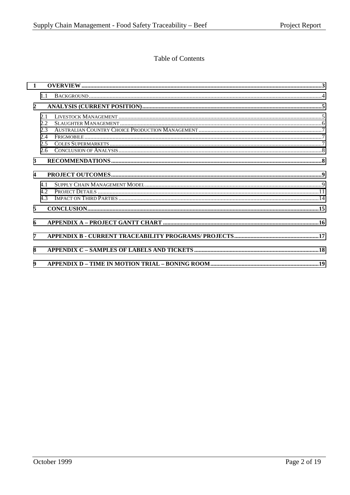# Table of Contents

| $\mathbf{1}$            |                    |  |
|-------------------------|--------------------|--|
|                         | 1.1                |  |
| $\overline{2}$          |                    |  |
|                         | 2.1<br>2.2         |  |
|                         | 2.3<br>2.4<br>2.5  |  |
|                         | 2.6                |  |
| $\mathbf{3}$            |                    |  |
| $\overline{\mathbf{4}}$ |                    |  |
|                         | 4 1<br>4.2.<br>4.3 |  |
| 5                       |                    |  |
| 6                       |                    |  |
| 7                       |                    |  |
| 8                       |                    |  |
| $\boldsymbol{9}$        |                    |  |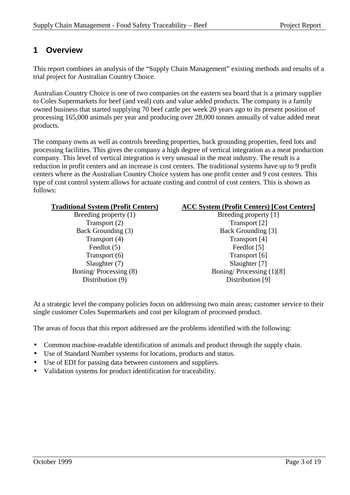# <span id="page-2-0"></span>**1 Overview**

This report combines an analysis of the "Supply Chain Management" existing methods and results of a trial project for Australian Country Choice.

Australian Country Choice is one of two companies on the eastern sea board that is a primary supplier to Coles Supermarkets for beef (and veal) cuts and value added products. The company is a family owned business that started supplying 70 beef cattle per week 20 years ago to its present position of processing 165,000 animals per year and producing over 28,000 tonnes annually of value added meat products.

The company owns as well as controls breeding properties, back grounding properties, feed lots and processing facilities. This gives the company a high degree of vertical integration as a meat production company. This level of vertical integration is very unusual in the meat industry. The result is a reduction in profit centers and an increase is cost centers. The traditional systems have up to 9 profit centers where as the Australian Country Choice system has one profit center and 9 cost centers. This type of cost control system allows for actuate costing and control of cost centers. This is shown as follows:

Transport (2) Transport [2] Back Grounding (3) Back Grounding [3] Transport (4) Transport [4] Feedlot (5) Feedlot [5] Transport (6) Transport [6] Slaughter (7) Slaughter [7] Distribution (9) Distribution [9]

#### **Traditional System (Profit Centers) ACC System (Profit Centers) [Cost Centers]**

Breeding property (1) Breeding property [1] Boning/ Processing (8) Boning/ Processing (1)[8]

At a strategic level the company policies focus on addressing two main areas; customer service to their single customer Coles Supermarkets and cost per kilogram of processed product.

The areas of focus that this report addressed are the problems identified with the following:

- Common machine-readable identification of animals and product through the supply chain.
- Use of Standard Number systems for locations, products and status.
- Use of EDI for passing data between customers and suppliers.
- Validation systems for product identification for traceability.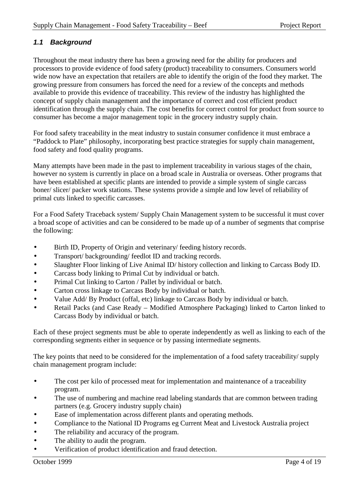### <span id="page-3-0"></span>*1.1 Background*

Throughout the meat industry there has been a growing need for the ability for producers and processors to provide evidence of food safety (product) traceability to consumers. Consumers world wide now have an expectation that retailers are able to identify the origin of the food they market. The growing pressure from consumers has forced the need for a review of the concepts and methods available to provide this evidence of traceability. This review of the industry has highlighted the concept of supply chain management and the importance of correct and cost efficient product identification through the supply chain. The cost benefits for correct control for product from source to consumer has become a major management topic in the grocery industry supply chain.

For food safety traceability in the meat industry to sustain consumer confidence it must embrace a "Paddock to Plate" philosophy, incorporating best practice strategies for supply chain management, food safety and food quality programs.

Many attempts have been made in the past to implement traceability in various stages of the chain, however no system is currently in place on a broad scale in Australia or overseas. Other programs that have been established at specific plants are intended to provide a simple system of single carcass boner/ slicer/ packer work stations. These systems provide a simple and low level of reliability of primal cuts linked to specific carcasses.

For a Food Safety Traceback system/ Supply Chain Management system to be successful it must cover a broad scope of activities and can be considered to be made up of a number of segments that comprise the following:

- Birth ID, Property of Origin and veterinary/ feeding history records.
- Transport/backgrounding/feedlot ID and tracking records.
- Slaughter Floor linking of Live Animal ID/ history collection and linking to Carcass Body ID.
- Carcass body linking to Primal Cut by individual or batch.
- Primal Cut linking to Carton / Pallet by individual or batch.
- Carton cross linkage to Carcass Body by individual or batch.
- Value Add/ By Product (offal, etc) linkage to Carcass Body by individual or batch.
- Retail Packs (and Case Ready Modified Atmosphere Packaging) linked to Carton linked to Carcass Body by individual or batch.

Each of these project segments must be able to operate independently as well as linking to each of the corresponding segments either in sequence or by passing intermediate segments.

The key points that need to be considered for the implementation of a food safety traceability/ supply chain management program include:

- The cost per kilo of processed meat for implementation and maintenance of a traceability program.
- The use of numbering and machine read labeling standards that are common between trading partners (e.g. Grocery industry supply chain)
- Ease of implementation across different plants and operating methods.
- Compliance to the National ID Programs eg Current Meat and Livestock Australia project
- The reliability and accuracy of the program.
- The ability to audit the program.
- Verification of product identification and fraud detection.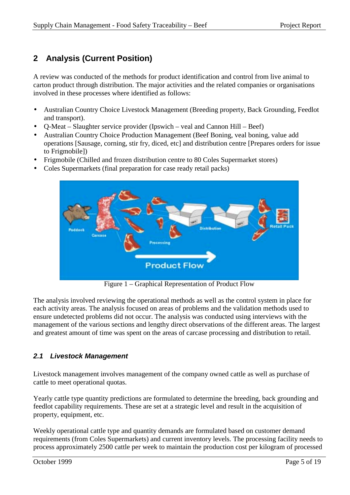# <span id="page-4-0"></span>**2 Analysis (Current Position)**

A review was conducted of the methods for product identification and control from live animal to carton product through distribution. The major activities and the related companies or organisations involved in these processes where identified as follows:

- Australian Country Choice Livestock Management (Breeding property, Back Grounding, Feedlot and transport).
- Q-Meat Slaughter service provider (Ipswich veal and Cannon Hill Beef)
- Australian Country Choice Production Management (Beef Boning, veal boning, value add operations [Sausage, corning, stir fry, diced, etc] and distribution centre [Prepares orders for issue to Frigmobile])
- Frigmobile (Chilled and frozen distribution centre to 80 Coles Supermarket stores)
- Coles Supermarkets (final preparation for case ready retail packs)



Figure 1 – Graphical Representation of Product Flow

The analysis involved reviewing the operational methods as well as the control system in place for each activity areas. The analysis focused on areas of problems and the validation methods used to ensure undetected problems did not occur. The analysis was conducted using interviews with the management of the various sections and lengthy direct observations of the different areas. The largest and greatest amount of time was spent on the areas of carcase processing and distribution to retail.

#### *2.1 Livestock Management*

Livestock management involves management of the company owned cattle as well as purchase of cattle to meet operational quotas.

Yearly cattle type quantity predictions are formulated to determine the breeding, back grounding and feedlot capability requirements. These are set at a strategic level and result in the acquisition of property, equipment, etc.

Weekly operational cattle type and quantity demands are formulated based on customer demand requirements (from Coles Supermarkets) and current inventory levels. The processing facility needs to process approximately 2500 cattle per week to maintain the production cost per kilogram of processed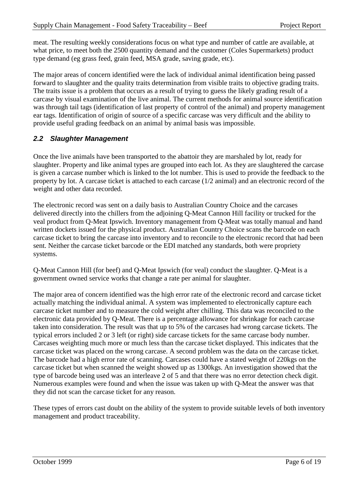<span id="page-5-0"></span>meat. The resulting weekly considerations focus on what type and number of cattle are available, at what price, to meet both the 2500 quantity demand and the customer (Coles Supermarkets) product type demand (eg grass feed, grain feed, MSA grade, saving grade, etc).

The major areas of concern identified were the lack of individual animal identification being passed forward to slaughter and the quality traits determination from visible traits to objective grading traits. The traits issue is a problem that occurs as a result of trying to guess the likely grading result of a carcase by visual examination of the live animal. The current methods for animal source identification was through tail tags (identification of last property of control of the animal) and property management ear tags. Identification of origin of source of a specific carcase was very difficult and the ability to provide useful grading feedback on an animal by animal basis was impossible.

### *2.2 Slaughter Management*

Once the live animals have been transported to the abattoir they are marshaled by lot, ready for slaughter. Property and like animal types are grouped into each lot. As they are slaughtered the carcase is given a carcase number which is linked to the lot number. This is used to provide the feedback to the property by lot. A carcase ticket is attached to each carcase (1/2 animal) and an electronic record of the weight and other data recorded.

The electronic record was sent on a daily basis to Australian Country Choice and the carcases delivered directly into the chillers from the adjoining Q-Meat Cannon Hill facility or trucked for the veal product from Q-Meat Ipswich. Inventory management from Q-Meat was totally manual and hand written dockets issued for the physical product. Australian Country Choice scans the barcode on each carcase ticket to bring the carcase into inventory and to reconcile to the electronic record that had been sent. Neither the carcase ticket barcode or the EDI matched any standards, both were propriety systems.

Q-Meat Cannon Hill (for beef) and Q-Meat Ipswich (for veal) conduct the slaughter. Q-Meat is a government owned service works that change a rate per animal for slaughter.

The major area of concern identified was the high error rate of the electronic record and carcase ticket actually matching the individual animal. A system was implemented to electronically capture each carcase ticket number and to measure the cold weight after chilling. This data was reconciled to the electronic data provided by Q-Meat. There is a percentage allowance for shrinkage for each carcase taken into consideration. The result was that up to 5% of the carcases had wrong carcase tickets. The typical errors included 2 or 3 left (or right) side carcase tickets for the same carcase body number. Carcases weighting much more or much less than the carcase ticket displayed. This indicates that the carcase ticket was placed on the wrong carcase. A second problem was the data on the carcase ticket. The barcode had a high error rate of scanning. Carcases could have a stated weight of 220kgs on the carcase ticket but when scanned the weight showed up as 1300kgs. An investigation showed that the type of barcode being used was an interleave 2 of 5 and that there was no error detection check digit. Numerous examples were found and when the issue was taken up with Q-Meat the answer was that they did not scan the carcase ticket for any reason.

These types of errors cast doubt on the ability of the system to provide suitable levels of both inventory management and product traceability.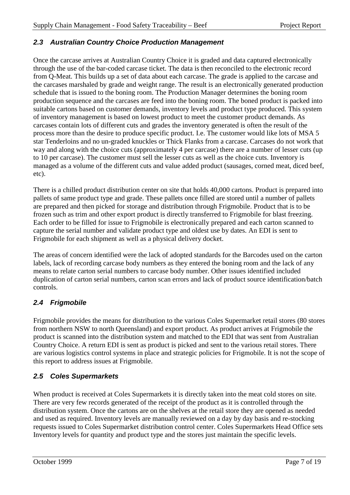#### <span id="page-6-0"></span>*2.3 Australian Country Choice Production Management*

Once the carcase arrives at Australian Country Choice it is graded and data captured electronically through the use of the bar-coded carcase ticket. The data is then reconciled to the electronic record from Q-Meat. This builds up a set of data about each carcase. The grade is applied to the carcase and the carcases marshaled by grade and weight range. The result is an electronically generated production schedule that is issued to the boning room. The Production Manager determines the boning room production sequence and the carcases are feed into the boning room. The boned product is packed into suitable cartons based on customer demands, inventory levels and product type produced. This system of inventory management is based on lowest product to meet the customer product demands. As carcases contain lots of different cuts and grades the inventory generated is often the result of the process more than the desire to produce specific product. I.e. The customer would like lots of MSA 5 star Tenderloins and no un-graded knuckles or Thick Flanks from a carcase. Carcases do not work that way and along with the choice cuts (approximately 4 per carcase) there are a number of lesser cuts (up to 10 per carcase). The customer must sell the lesser cuts as well as the choice cuts. Inventory is managed as a volume of the different cuts and value added product (sausages, corned meat, diced beef, etc).

There is a chilled product distribution center on site that holds 40,000 cartons. Product is prepared into pallets of same product type and grade. These pallets once filled are stored until a number of pallets are prepared and then picked for storage and distribution through Frigmobile. Product that is to be frozen such as trim and other export product is directly transferred to Frigmobile for blast freezing. Each order to be filled for issue to Frigmobile is electronically prepared and each carton scanned to capture the serial number and validate product type and oldest use by dates. An EDI is sent to Frigmobile for each shipment as well as a physical delivery docket.

The areas of concern identified were the lack of adopted standards for the Barcodes used on the carton labels, lack of recording carcase body numbers as they entered the boning room and the lack of any means to relate carton serial numbers to carcase body number. Other issues identified included duplication of carton serial numbers, carton scan errors and lack of product source identification/batch controls.

# *2.4 Frigmobile*

Frigmobile provides the means for distribution to the various Coles Supermarket retail stores (80 stores from northern NSW to north Queensland) and export product. As product arrives at Frigmobile the product is scanned into the distribution system and matched to the EDI that was sent from Australian Country Choice. A return EDI is sent as product is picked and sent to the various retail stores. There are various logistics control systems in place and strategic policies for Frigmobile. It is not the scope of this report to address issues at Frigmobile.

#### *2.5 Coles Supermarkets*

When product is received at Coles Supermarkets it is directly taken into the meat cold stores on site. There are very few records generated of the receipt of the product as it is controlled through the distribution system. Once the cartons are on the shelves at the retail store they are opened as needed and used as required. Inventory levels are manually reviewed on a day by day basis and re-stocking requests issued to Coles Supermarket distribution control center. Coles Supermarkets Head Office sets Inventory levels for quantity and product type and the stores just maintain the specific levels.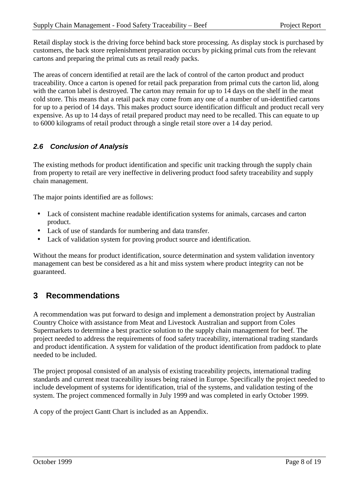<span id="page-7-0"></span>Retail display stock is the driving force behind back store processing. As display stock is purchased by customers, the back store replenishment preparation occurs by picking primal cuts from the relevant cartons and preparing the primal cuts as retail ready packs.

The areas of concern identified at retail are the lack of control of the carton product and product traceability. Once a carton is opened for retail pack preparation from primal cuts the carton lid, along with the carton label is destroyed. The carton may remain for up to 14 days on the shelf in the meat cold store. This means that a retail pack may come from any one of a number of un-identified cartons for up to a period of 14 days. This makes product source identification difficult and product recall very expensive. As up to 14 days of retail prepared product may need to be recalled. This can equate to up to 6000 kilograms of retail product through a single retail store over a 14 day period.

# *2.6 Conclusion of Analysis*

The existing methods for product identification and specific unit tracking through the supply chain from property to retail are very ineffective in delivering product food safety traceability and supply chain management.

The major points identified are as follows:

- Lack of consistent machine readable identification systems for animals, carcases and carton product.
- Lack of use of standards for numbering and data transfer.
- Lack of validation system for proving product source and identification.

Without the means for product identification, source determination and system validation inventory management can best be considered as a hit and miss system where product integrity can not be guaranteed.

# **3 Recommendations**

A recommendation was put forward to design and implement a demonstration project by Australian Country Choice with assistance from Meat and Livestock Australian and support from Coles Supermarkets to determine a best practice solution to the supply chain management for beef. The project needed to address the requirements of food safety traceability, international trading standards and product identification. A system for validation of the product identification from paddock to plate needed to be included.

The project proposal consisted of an analysis of existing traceability projects, international trading standards and current meat traceability issues being raised in Europe. Specifically the project needed to include development of systems for identification, trial of the systems, and validation testing of the system. The project commenced formally in July 1999 and was completed in early October 1999.

A copy of the project Gantt Chart is included as an Appendix.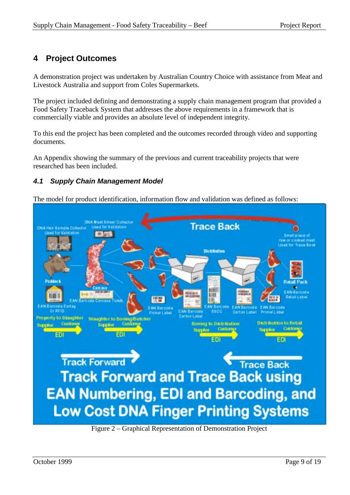# <span id="page-8-0"></span>**4 Project Outcomes**

A demonstration project was undertaken by Australian Country Choice with assistance from Meat and Livestock Australia and support from Coles Supermarkets.

The project included defining and demonstrating a supply chain management program that provided a Food Safety Traceback System that addresses the above requirements in a framework that is commercially viable and provides an absolute level of independent integrity.

To this end the project has been completed and the outcomes recorded through video and supporting documents.

An Appendix showing the summary of the previous and current traceability projects that were researched has been included.

### *4.1 Supply Chain Management Model*

The model for product identification, information flow and validation was defined as follows:



Figure 2 – Graphical Representation of Demonstration Project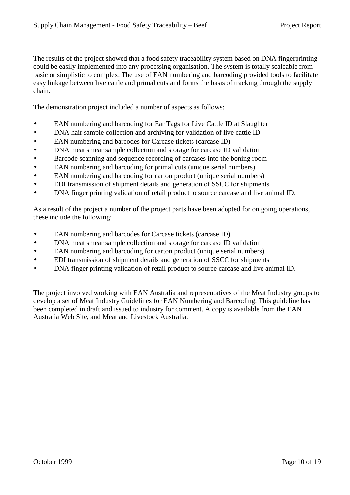The results of the project showed that a food safety traceability system based on DNA fingerprinting could be easily implemented into any processing organisation. The system is totally scaleable from basic or simplistic to complex. The use of EAN numbering and barcoding provided tools to facilitate easy linkage between live cattle and primal cuts and forms the basis of tracking through the supply chain.

The demonstration project included a number of aspects as follows:

- EAN numbering and barcoding for Ear Tags for Live Cattle ID at Slaughter
- DNA hair sample collection and archiving for validation of live cattle ID
- EAN numbering and barcodes for Carcase tickets (carcase ID)
- DNA meat smear sample collection and storage for carcase ID validation
- Barcode scanning and sequence recording of carcases into the boning room
- EAN numbering and barcoding for primal cuts (unique serial numbers)
- EAN numbering and barcoding for carton product (unique serial numbers)
- EDI transmission of shipment details and generation of SSCC for shipments
- DNA finger printing validation of retail product to source carcase and live animal ID.

As a result of the project a number of the project parts have been adopted for on going operations, these include the following:

- EAN numbering and barcodes for Carcase tickets (carcase ID)
- DNA meat smear sample collection and storage for carcase ID validation
- EAN numbering and barcoding for carton product (unique serial numbers)
- EDI transmission of shipment details and generation of SSCC for shipments
- DNA finger printing validation of retail product to source carcase and live animal ID.

The project involved working with EAN Australia and representatives of the Meat Industry groups to develop a set of Meat Industry Guidelines for EAN Numbering and Barcoding. This guideline has been completed in draft and issued to industry for comment. A copy is available from the EAN Australia Web Site, and Meat and Livestock Australia.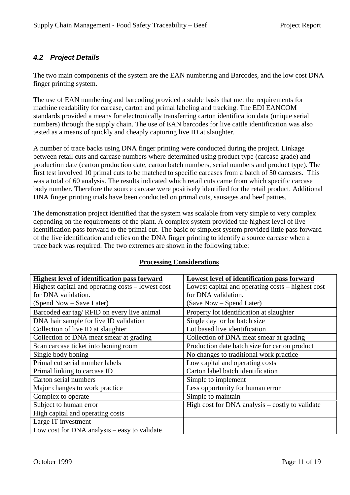# <span id="page-10-0"></span>*4.2 Project Details*

The two main components of the system are the EAN numbering and Barcodes, and the low cost DNA finger printing system.

The use of EAN numbering and barcoding provided a stable basis that met the requirements for machine readability for carcase, carton and primal labeling and tracking. The EDI EANCOM standards provided a means for electronically transferring carton identification data (unique serial numbers) through the supply chain. The use of EAN barcodes for live cattle identification was also tested as a means of quickly and cheaply capturing live ID at slaughter.

A number of trace backs using DNA finger printing were conducted during the project. Linkage between retail cuts and carcase numbers where determined using product type (carcase grade) and production date (carton production date, carton batch numbers, serial numbers and product type). The first test involved 10 primal cuts to be matched to specific carcases from a batch of 50 carcases. This was a total of 60 analysis. The results indicated which retail cuts came from which specific carcase body number. Therefore the source carcase were positively identified for the retail product. Additional DNA finger printing trials have been conducted on primal cuts, sausages and beef patties.

The demonstration project identified that the system was scalable from very simple to very complex depending on the requirements of the plant. A complex system provided the highest level of live identification pass forward to the primal cut. The basic or simplest system provided little pass forward of the live identification and relies on the DNA finger printing to identify a source carcase when a trace back was required. The two extremes are shown in the following table:

| <b>Highest level of identification pass forward</b> | Lowest level of identification pass forward       |  |
|-----------------------------------------------------|---------------------------------------------------|--|
| Highest capital and operating costs – lowest cost   | Lowest capital and operating costs – highest cost |  |
| for DNA validation.                                 | for DNA validation.                               |  |
| (Spend Now - Save Later)                            | (Save Now – Spend Later)                          |  |
| Barcoded ear tag/RFID on every live animal          | Property lot identification at slaughter          |  |
| DNA hair sample for live ID validation              | Single day or lot batch size                      |  |
| Collection of live ID at slaughter                  | Lot based live identification                     |  |
| Collection of DNA meat smear at grading             | Collection of DNA meat smear at grading           |  |
| Scan carcase ticket into boning room                | Production date batch size for carton product     |  |
| Single body boning                                  | No changes to traditional work practice           |  |
| Primal cut serial number labels                     | Low capital and operating costs                   |  |
| Primal linking to carcase ID                        | Carton label batch identification                 |  |
| Carton serial numbers                               | Simple to implement                               |  |
| Major changes to work practice                      | Less opportunity for human error                  |  |
| Complex to operate                                  | Simple to maintain                                |  |
| Subject to human error                              | High cost for DNA analysis – costly to validate   |  |
| High capital and operating costs                    |                                                   |  |
| Large IT investment                                 |                                                   |  |
| Low cost for DNA analysis – easy to validate        |                                                   |  |

#### **Processing Considerations**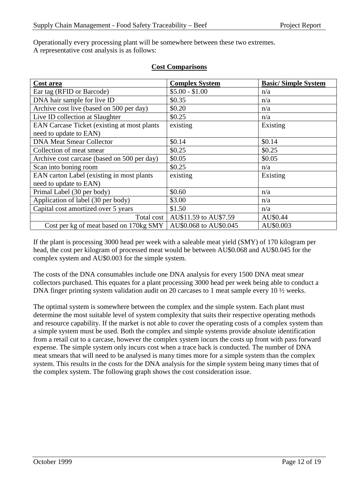Operationally every processing plant will be somewhere between these two extremes. A representative cost analysis is as follows:

| Cost area                                           | <b>Complex System</b>  | <b>Basic/Simple System</b> |
|-----------------------------------------------------|------------------------|----------------------------|
| Ear tag (RFID or Barcode)                           | $$5.00 - $1.00$        | n/a                        |
| DNA hair sample for live ID                         | \$0.35                 | n/a                        |
| Archive cost live (based on 500 per day)            | \$0.20                 | n/a                        |
| Live ID collection at Slaughter                     | \$0.25                 | n/a                        |
| <b>EAN Carcase Ticket (existing at most plants)</b> | existing               | Existing                   |
| need to update to EAN)                              |                        |                            |
| <b>DNA Meat Smear Collector</b>                     | \$0.14                 | \$0.14                     |
| Collection of meat smear                            | \$0.25                 | \$0.25                     |
| Archive cost carcase (based on 500 per day)         | \$0.05                 | \$0.05                     |
| Scan into boning room                               | \$0.25                 | n/a                        |
| EAN carton Label (existing in most plants           | existing               | Existing                   |
| need to update to EAN)                              |                        |                            |
| Primal Label (30 per body)                          | \$0.60                 | n/a                        |
| Application of label (30 per body)                  | \$3.00                 | n/a                        |
| Capital cost amortized over 5 years                 | \$1.50                 | n/a                        |
| Total cost                                          | AU\$11.59 to AU\$7.59  | AU\$0.44                   |
| Cost per kg of meat based on 170kg SMY              | AU\$0.068 to AU\$0.045 | AU\$0.003                  |

#### **Cost Comparisons**

If the plant is processing 3000 head per week with a saleable meat yield (SMY) of 170 kilogram per head, the cost per kilogram of processed meat would be between AU\$0.068 and AU\$0.045 for the complex system and AU\$0.003 for the simple system.

The costs of the DNA consumables include one DNA analysis for every 1500 DNA meat smear collectors purchased. This equates for a plant processing 3000 head per week being able to conduct a DNA finger printing system validation audit on 20 carcases to 1 meat sample every 10  $\frac{1}{2}$  weeks.

The optimal system is somewhere between the complex and the simple system. Each plant must determine the most suitable level of system complexity that suits their respective operating methods and resource capability. If the market is not able to cover the operating costs of a complex system than a simple system must be used. Both the complex and simple systems provide absolute identification from a retail cut to a carcase, however the complex system incurs the costs up front with pass forward expense. The simple system only incurs cost when a trace back is conducted. The number of DNA meat smears that will need to be analysed is many times more for a simple system than the complex system. This results in the costs for the DNA analysis for the simple system being many times that of the complex system. The following graph shows the cost consideration issue.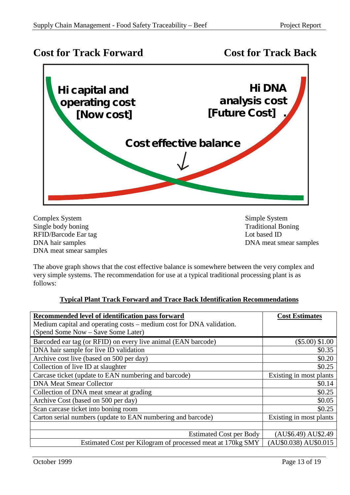# **Cost for Track Forward Cost for Track Back**



Complex System Simple System Single body boning Traditional Boning RFID/Barcode Ear tag Lot based ID DNA hair samples DNA meat smear samples DNA meat smear samples

The above graph shows that the cost effective balance is somewhere between the very complex and very simple systems. The recommendation for use at a typical traditional processing plant is as follows:

#### **Typical Plant Track Forward and Trace Back Identification Recommendations**

| Recommended level of identification pass forward                     | <b>Cost Estimates</b>   |
|----------------------------------------------------------------------|-------------------------|
| Medium capital and operating costs – medium cost for DNA validation. |                         |
| (Spend Some Now – Save Some Later)                                   |                         |
| Barcoded ear tag (or RFID) on every live animal (EAN barcode)        | $(\$5.00) \$1.00$       |
| DNA hair sample for live ID validation                               | \$0.35                  |
| Archive cost live (based on 500 per day)                             | \$0.20                  |
| Collection of live ID at slaughter                                   | \$0.25                  |
| Carcase ticket (update to EAN numbering and barcode)                 | Existing in most plants |
| <b>DNA Meat Smear Collector</b>                                      | \$0.14                  |
| Collection of DNA meat smear at grading                              | \$0.25                  |
| Archive Cost (based on 500 per day)                                  | \$0.05                  |
| Scan carcase ticket into boning room                                 | \$0.25                  |
| Carton serial numbers (update to EAN numbering and barcode)          | Existing in most plants |
|                                                                      |                         |
| <b>Estimated Cost per Body</b>                                       | (AU\$6.49) AU\$2.49     |
| Estimated Cost per Kilogram of processed meat at 170kg SMY           | (AU\$0.038) AU\$0.015   |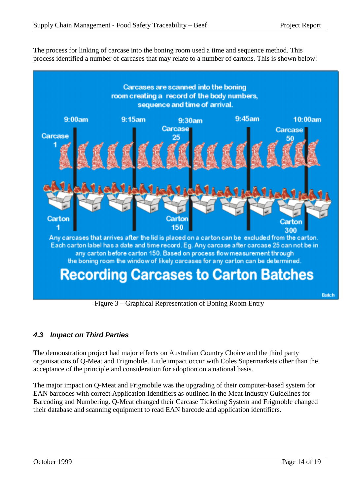<span id="page-13-0"></span>The process for linking of carcase into the boning room used a time and sequence method. This process identified a number of carcases that may relate to a number of cartons. This is shown below:



Figure 3 – Graphical Representation of Boning Room Entry

# *4.3 Impact on Third Parties*

The demonstration project had major effects on Australian Country Choice and the third party organisations of Q-Meat and Frigmobile. Little impact occur with Coles Supermarkets other than the acceptance of the principle and consideration for adoption on a national basis.

The major impact on Q-Meat and Frigmobile was the upgrading of their computer-based system for EAN barcodes with correct Application Identifiers as outlined in the Meat Industry Guidelines for Barcoding and Numbering. Q-Meat changed their Carcase Ticketing System and Frigmoble changed their database and scanning equipment to read EAN barcode and application identifiers.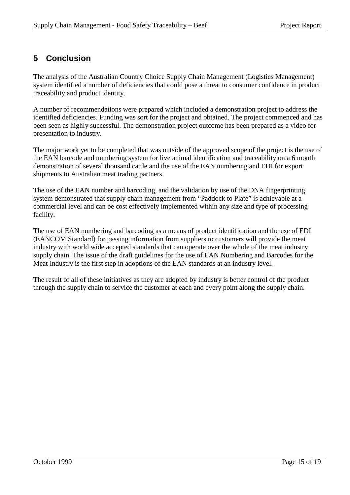# <span id="page-14-0"></span>**5 Conclusion**

The analysis of the Australian Country Choice Supply Chain Management (Logistics Management) system identified a number of deficiencies that could pose a threat to consumer confidence in product traceability and product identity.

A number of recommendations were prepared which included a demonstration project to address the identified deficiencies. Funding was sort for the project and obtained. The project commenced and has been seen as highly successful. The demonstration project outcome has been prepared as a video for presentation to industry.

The major work yet to be completed that was outside of the approved scope of the project is the use of the EAN barcode and numbering system for live animal identification and traceability on a 6 month demonstration of several thousand cattle and the use of the EAN numbering and EDI for export shipments to Australian meat trading partners.

The use of the EAN number and barcoding, and the validation by use of the DNA fingerprinting system demonstrated that supply chain management from "Paddock to Plate" is achievable at a commercial level and can be cost effectively implemented within any size and type of processing facility.

The use of EAN numbering and barcoding as a means of product identification and the use of EDI (EANCOM Standard) for passing information from suppliers to customers will provide the meat industry with world wide accepted standards that can operate over the whole of the meat industry supply chain. The issue of the draft guidelines for the use of EAN Numbering and Barcodes for the Meat Industry is the first step in adoptions of the EAN standards at an industry level.

The result of all of these initiatives as they are adopted by industry is better control of the product through the supply chain to service the customer at each and every point along the supply chain.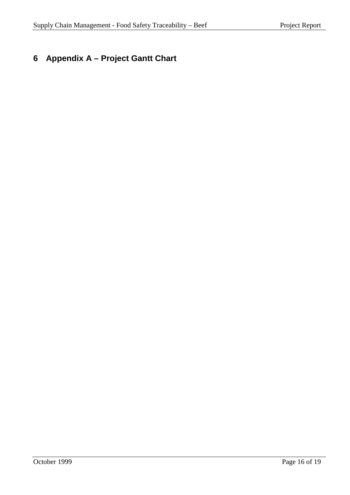# <span id="page-15-0"></span>**6 Appendix A – Project Gantt Chart**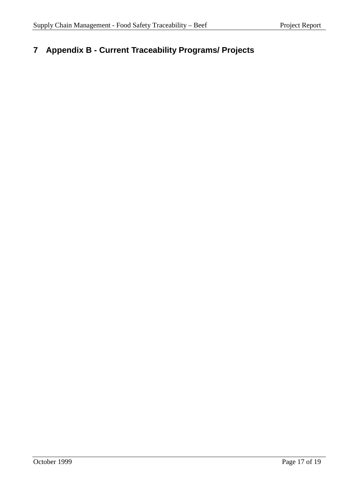# <span id="page-16-0"></span>**7 Appendix B - Current Traceability Programs/ Projects**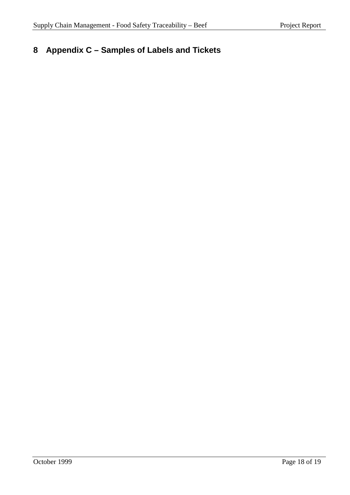# <span id="page-17-0"></span>**8 Appendix C – Samples of Labels and Tickets**